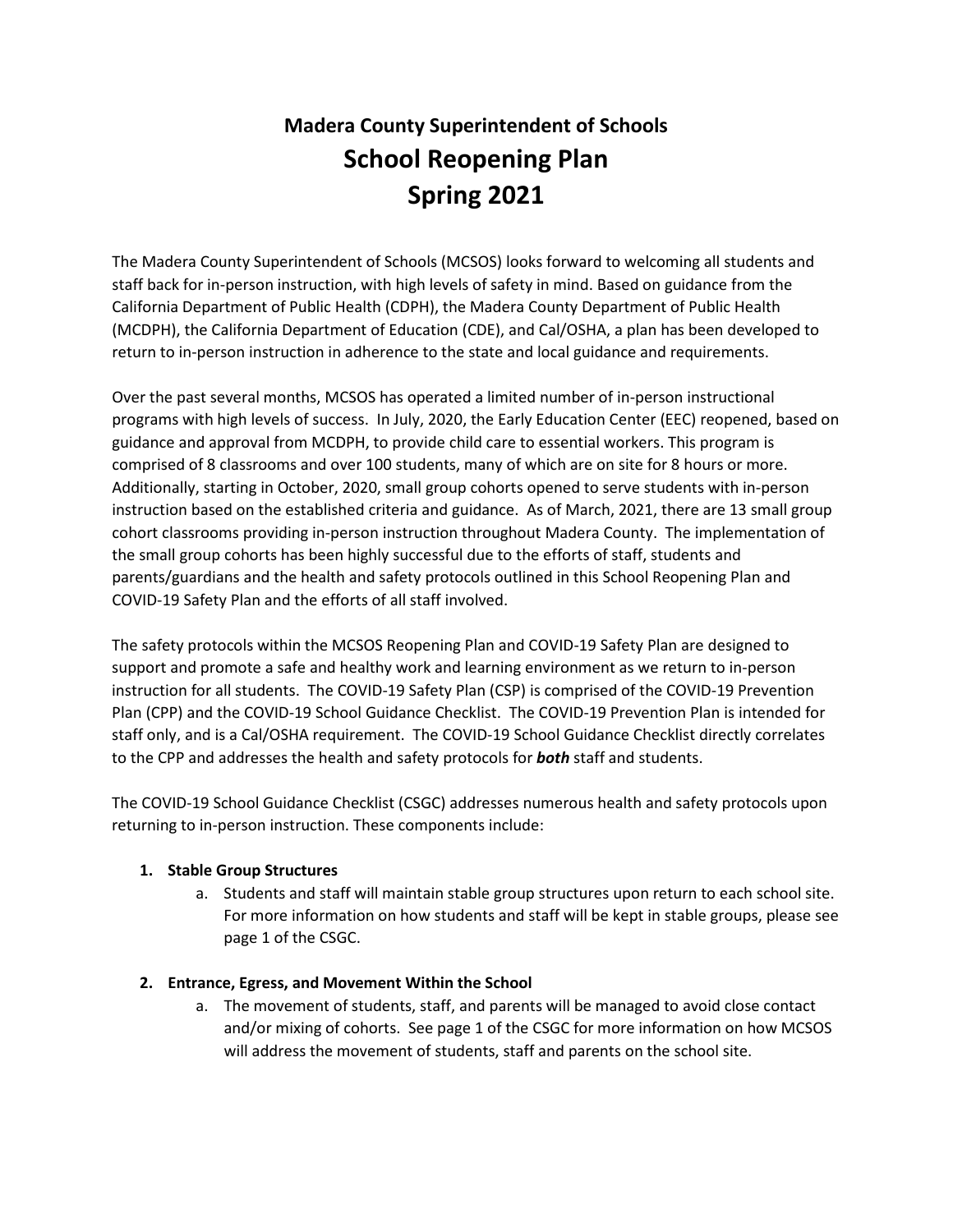# **Madera County Superintendent of Schools School Reopening Plan Spring 2021**

The Madera County Superintendent of Schools (MCSOS) looks forward to welcoming all students and staff back for in-person instruction, with high levels of safety in mind. Based on guidance from the California Department of Public Health (CDPH), the Madera County Department of Public Health (MCDPH), the California Department of Education (CDE), and Cal/OSHA, a plan has been developed to return to in-person instruction in adherence to the state and local guidance and requirements.

Over the past several months, MCSOS has operated a limited number of in-person instructional programs with high levels of success. In July, 2020, the Early Education Center (EEC) reopened, based on guidance and approval from MCDPH, to provide child care to essential workers. This program is comprised of 8 classrooms and over 100 students, many of which are on site for 8 hours or more. Additionally, starting in October, 2020, small group cohorts opened to serve students with in-person instruction based on the established criteria and guidance. As of March, 2021, there are 13 small group cohort classrooms providing in-person instruction throughout Madera County. The implementation of the small group cohorts has been highly successful due to the efforts of staff, students and parents/guardians and the health and safety protocols outlined in this School Reopening Plan and COVID-19 Safety Plan and the efforts of all staff involved.

The safety protocols within the MCSOS Reopening Plan and COVID-19 Safety Plan are designed to support and promote a safe and healthy work and learning environment as we return to in-person instruction for all students. The COVID-19 Safety Plan (CSP) is comprised of the COVID-19 Prevention Plan (CPP) and the COVID-19 School Guidance Checklist. The COVID-19 Prevention Plan is intended for staff only, and is a Cal/OSHA requirement. The COVID-19 School Guidance Checklist directly correlates to the CPP and addresses the health and safety protocols for *both* staff and students.

The COVID-19 School Guidance Checklist (CSGC) addresses numerous health and safety protocols upon returning to in-person instruction. These components include:

## **1. Stable Group Structures**

a. Students and staff will maintain stable group structures upon return to each school site. For more information on how students and staff will be kept in stable groups, please see page 1 of the CSGC.

## **2. Entrance, Egress, and Movement Within the School**

a. The movement of students, staff, and parents will be managed to avoid close contact and/or mixing of cohorts. See page 1 of the CSGC for more information on how MCSOS will address the movement of students, staff and parents on the school site.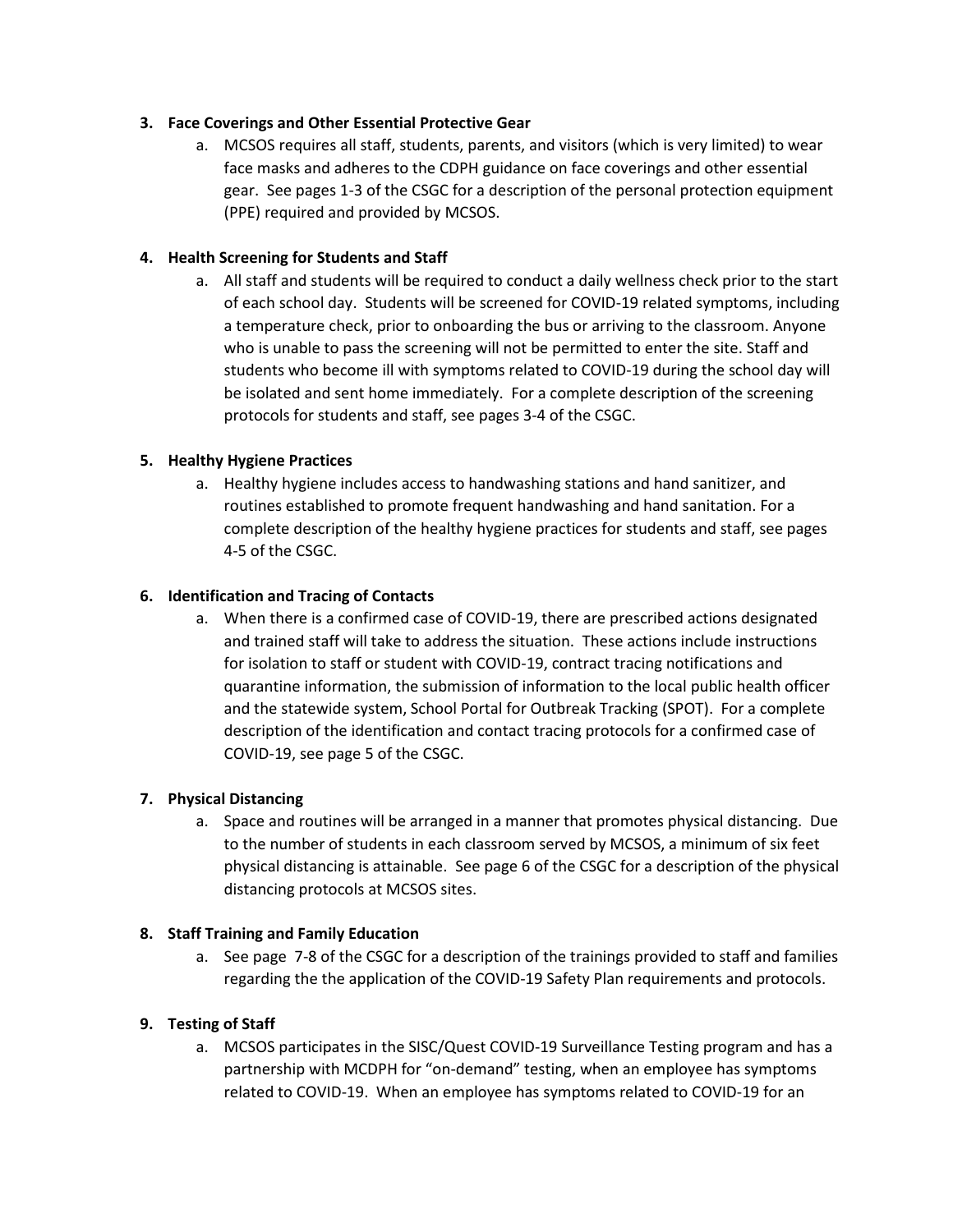## **3. Face Coverings and Other Essential Protective Gear**

a. MCSOS requires all staff, students, parents, and visitors (which is very limited) to wear face masks and adheres to the CDPH guidance on face coverings and other essential gear. See pages 1-3 of the CSGC for a description of the personal protection equipment (PPE) required and provided by MCSOS.

## **4. Health Screening for Students and Staff**

a. All staff and students will be required to conduct a daily wellness check prior to the start of each school day. Students will be screened for COVID-19 related symptoms, including a temperature check, prior to onboarding the bus or arriving to the classroom. Anyone who is unable to pass the screening will not be permitted to enter the site. Staff and students who become ill with symptoms related to COVID-19 during the school day will be isolated and sent home immediately. For a complete description of the screening protocols for students and staff, see pages 3-4 of the CSGC.

## **5. Healthy Hygiene Practices**

a. Healthy hygiene includes access to handwashing stations and hand sanitizer, and routines established to promote frequent handwashing and hand sanitation. For a complete description of the healthy hygiene practices for students and staff, see pages 4-5 of the CSGC.

## **6. Identification and Tracing of Contacts**

a. When there is a confirmed case of COVID-19, there are prescribed actions designated and trained staff will take to address the situation. These actions include instructions for isolation to staff or student with COVID-19, contract tracing notifications and quarantine information, the submission of information to the local public health officer and the statewide system, School Portal for Outbreak Tracking (SPOT). For a complete description of the identification and contact tracing protocols for a confirmed case of COVID-19, see page 5 of the CSGC.

## **7. Physical Distancing**

a. Space and routines will be arranged in a manner that promotes physical distancing. Due to the number of students in each classroom served by MCSOS, a minimum of six feet physical distancing is attainable. See page 6 of the CSGC for a description of the physical distancing protocols at MCSOS sites.

#### **8. Staff Training and Family Education**

a. See page 7-8 of the CSGC for a description of the trainings provided to staff and families regarding the the application of the COVID-19 Safety Plan requirements and protocols.

#### **9. Testing of Staff**

a. MCSOS participates in the SISC/Quest COVID-19 Surveillance Testing program and has a partnership with MCDPH for "on-demand" testing, when an employee has symptoms related to COVID-19. When an employee has symptoms related to COVID-19 for an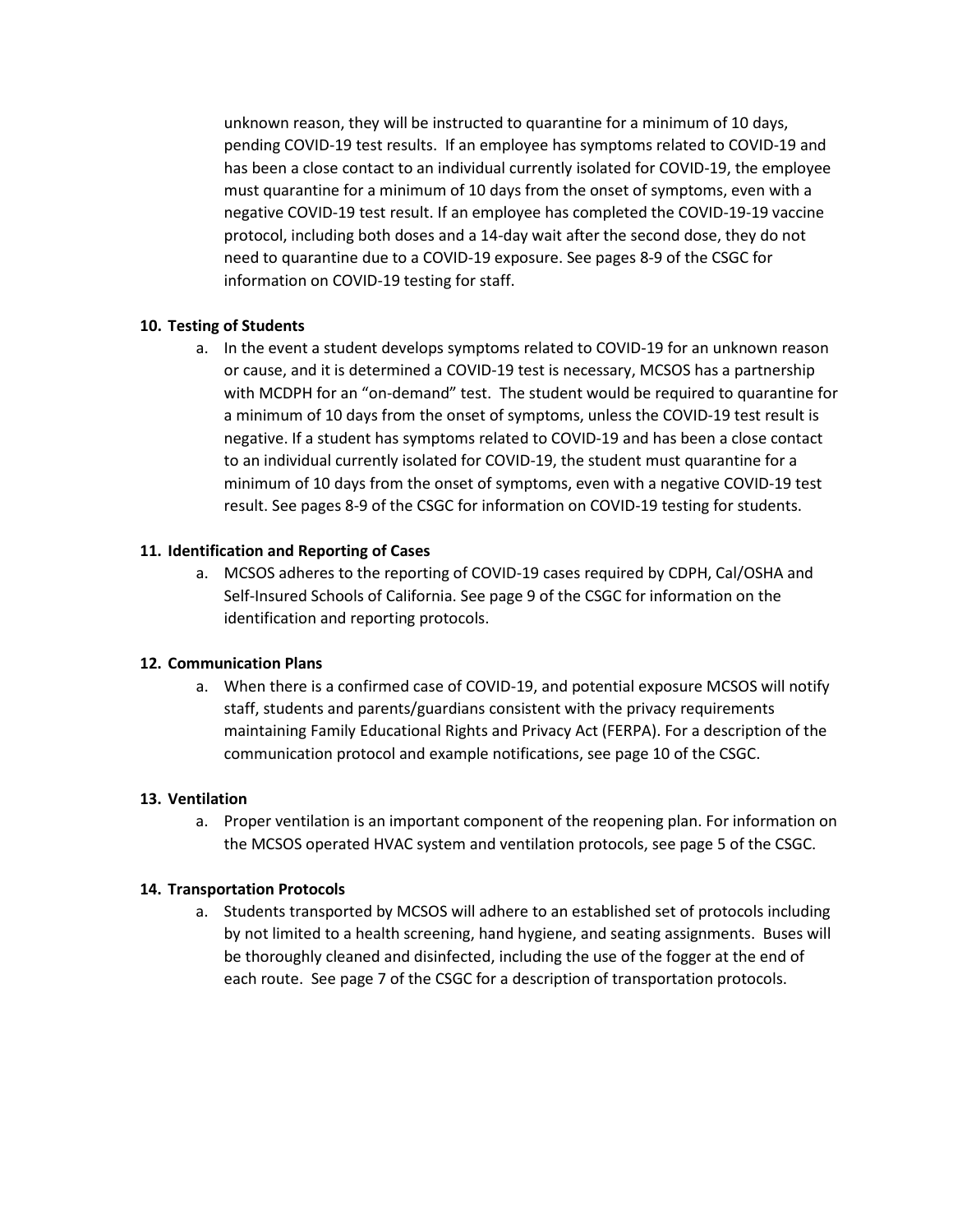unknown reason, they will be instructed to quarantine for a minimum of 10 days, pending COVID-19 test results. If an employee has symptoms related to COVID-19 and has been a close contact to an individual currently isolated for COVID-19, the employee must quarantine for a minimum of 10 days from the onset of symptoms, even with a negative COVID-19 test result. If an employee has completed the COVID-19-19 vaccine protocol, including both doses and a 14-day wait after the second dose, they do not need to quarantine due to a COVID-19 exposure. See pages 8-9 of the CSGC for information on COVID-19 testing for staff.

## **10. Testing of Students**

a. In the event a student develops symptoms related to COVID-19 for an unknown reason or cause, and it is determined a COVID-19 test is necessary, MCSOS has a partnership with MCDPH for an "on-demand" test. The student would be required to quarantine for a minimum of 10 days from the onset of symptoms, unless the COVID-19 test result is negative. If a student has symptoms related to COVID-19 and has been a close contact to an individual currently isolated for COVID-19, the student must quarantine for a minimum of 10 days from the onset of symptoms, even with a negative COVID-19 test result. See pages 8-9 of the CSGC for information on COVID-19 testing for students.

## **11. Identification and Reporting of Cases**

a. MCSOS adheres to the reporting of COVID-19 cases required by CDPH, Cal/OSHA and Self-Insured Schools of California. See page 9 of the CSGC for information on the identification and reporting protocols.

#### **12. Communication Plans**

a. When there is a confirmed case of COVID-19, and potential exposure MCSOS will notify staff, students and parents/guardians consistent with the privacy requirements maintaining Family Educational Rights and Privacy Act (FERPA). For a description of the communication protocol and example notifications, see page 10 of the CSGC.

#### **13. Ventilation**

a. Proper ventilation is an important component of the reopening plan. For information on the MCSOS operated HVAC system and ventilation protocols, see page 5 of the CSGC.

#### **14. Transportation Protocols**

a. Students transported by MCSOS will adhere to an established set of protocols including by not limited to a health screening, hand hygiene, and seating assignments. Buses will be thoroughly cleaned and disinfected, including the use of the fogger at the end of each route. See page 7 of the CSGC for a description of transportation protocols.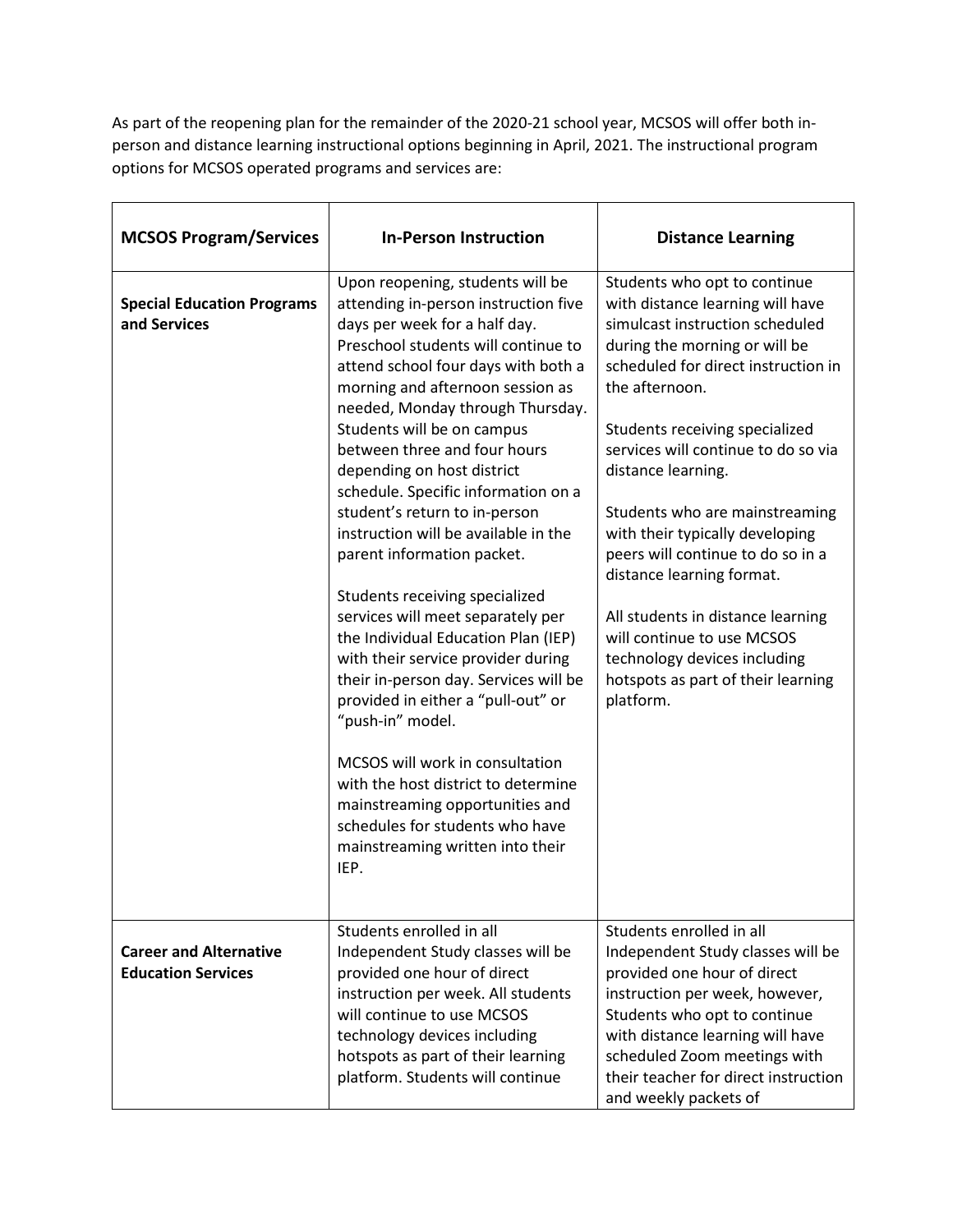As part of the reopening plan for the remainder of the 2020-21 school year, MCSOS will offer both inperson and distance learning instructional options beginning in April, 2021. The instructional program options for MCSOS operated programs and services are:

| <b>MCSOS Program/Services</b>                              | <b>In-Person Instruction</b>                                                                                                                                                                                                                                                                                                                                                                                                                                                                                                                                                                                                                                                                                                                                                                                                                                                                                                                                 | <b>Distance Learning</b>                                                                                                                                                                                                                                                                                                                                                                                                                                                                                                                                                                  |
|------------------------------------------------------------|--------------------------------------------------------------------------------------------------------------------------------------------------------------------------------------------------------------------------------------------------------------------------------------------------------------------------------------------------------------------------------------------------------------------------------------------------------------------------------------------------------------------------------------------------------------------------------------------------------------------------------------------------------------------------------------------------------------------------------------------------------------------------------------------------------------------------------------------------------------------------------------------------------------------------------------------------------------|-------------------------------------------------------------------------------------------------------------------------------------------------------------------------------------------------------------------------------------------------------------------------------------------------------------------------------------------------------------------------------------------------------------------------------------------------------------------------------------------------------------------------------------------------------------------------------------------|
| <b>Special Education Programs</b><br>and Services          | Upon reopening, students will be<br>attending in-person instruction five<br>days per week for a half day.<br>Preschool students will continue to<br>attend school four days with both a<br>morning and afternoon session as<br>needed, Monday through Thursday.<br>Students will be on campus<br>between three and four hours<br>depending on host district<br>schedule. Specific information on a<br>student's return to in-person<br>instruction will be available in the<br>parent information packet.<br>Students receiving specialized<br>services will meet separately per<br>the Individual Education Plan (IEP)<br>with their service provider during<br>their in-person day. Services will be<br>provided in either a "pull-out" or<br>"push-in" model.<br>MCSOS will work in consultation<br>with the host district to determine<br>mainstreaming opportunities and<br>schedules for students who have<br>mainstreaming written into their<br>IEP. | Students who opt to continue<br>with distance learning will have<br>simulcast instruction scheduled<br>during the morning or will be<br>scheduled for direct instruction in<br>the afternoon.<br>Students receiving specialized<br>services will continue to do so via<br>distance learning.<br>Students who are mainstreaming<br>with their typically developing<br>peers will continue to do so in a<br>distance learning format.<br>All students in distance learning<br>will continue to use MCSOS<br>technology devices including<br>hotspots as part of their learning<br>platform. |
| <b>Career and Alternative</b><br><b>Education Services</b> | Students enrolled in all<br>Independent Study classes will be<br>provided one hour of direct<br>instruction per week. All students<br>will continue to use MCSOS<br>technology devices including<br>hotspots as part of their learning<br>platform. Students will continue                                                                                                                                                                                                                                                                                                                                                                                                                                                                                                                                                                                                                                                                                   | Students enrolled in all<br>Independent Study classes will be<br>provided one hour of direct<br>instruction per week, however,<br>Students who opt to continue<br>with distance learning will have<br>scheduled Zoom meetings with<br>their teacher for direct instruction<br>and weekly packets of                                                                                                                                                                                                                                                                                       |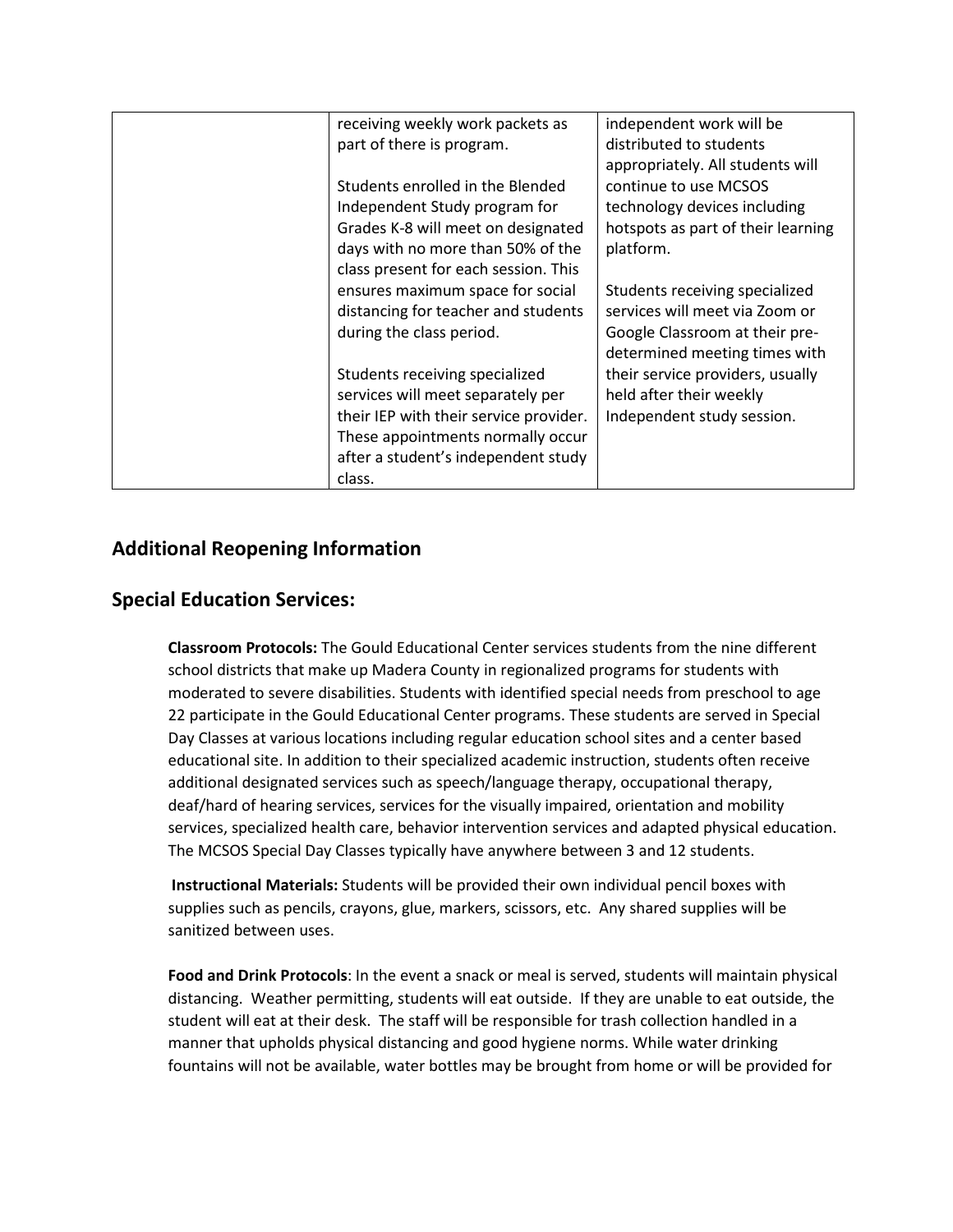| receiving weekly work packets as       | independent work will be           |
|----------------------------------------|------------------------------------|
| part of there is program.              | distributed to students            |
|                                        | appropriately. All students will   |
| Students enrolled in the Blended       | continue to use MCSOS              |
| Independent Study program for          | technology devices including       |
| Grades K-8 will meet on designated     | hotspots as part of their learning |
| days with no more than 50% of the      | platform.                          |
| class present for each session. This   |                                    |
| ensures maximum space for social       | Students receiving specialized     |
| distancing for teacher and students    | services will meet via Zoom or     |
| during the class period.               | Google Classroom at their pre-     |
|                                        | determined meeting times with      |
| Students receiving specialized         | their service providers, usually   |
| services will meet separately per      | held after their weekly            |
| their IEP with their service provider. | Independent study session.         |
| These appointments normally occur      |                                    |
| after a student's independent study    |                                    |
| class.                                 |                                    |

# **Additional Reopening Information**

# **Special Education Services:**

**Classroom Protocols:** The Gould Educational Center services students from the nine different school districts that make up Madera County in regionalized programs for students with moderated to severe disabilities. Students with identified special needs from preschool to age 22 participate in the Gould Educational Center programs. These students are served in Special Day Classes at various locations including regular education school sites and a center based educational site. In addition to their specialized academic instruction, students often receive additional designated services such as speech/language therapy, occupational therapy, deaf/hard of hearing services, services for the visually impaired, orientation and mobility services, specialized health care, behavior intervention services and adapted physical education. The MCSOS Special Day Classes typically have anywhere between 3 and 12 students.

**Instructional Materials:** Students will be provided their own individual pencil boxes with supplies such as pencils, crayons, glue, markers, scissors, etc. Any shared supplies will be sanitized between uses.

**Food and Drink Protocols**: In the event a snack or meal is served, students will maintain physical distancing. Weather permitting, students will eat outside. If they are unable to eat outside, the student will eat at their desk. The staff will be responsible for trash collection handled in a manner that upholds physical distancing and good hygiene norms. While water drinking fountains will not be available, water bottles may be brought from home or will be provided for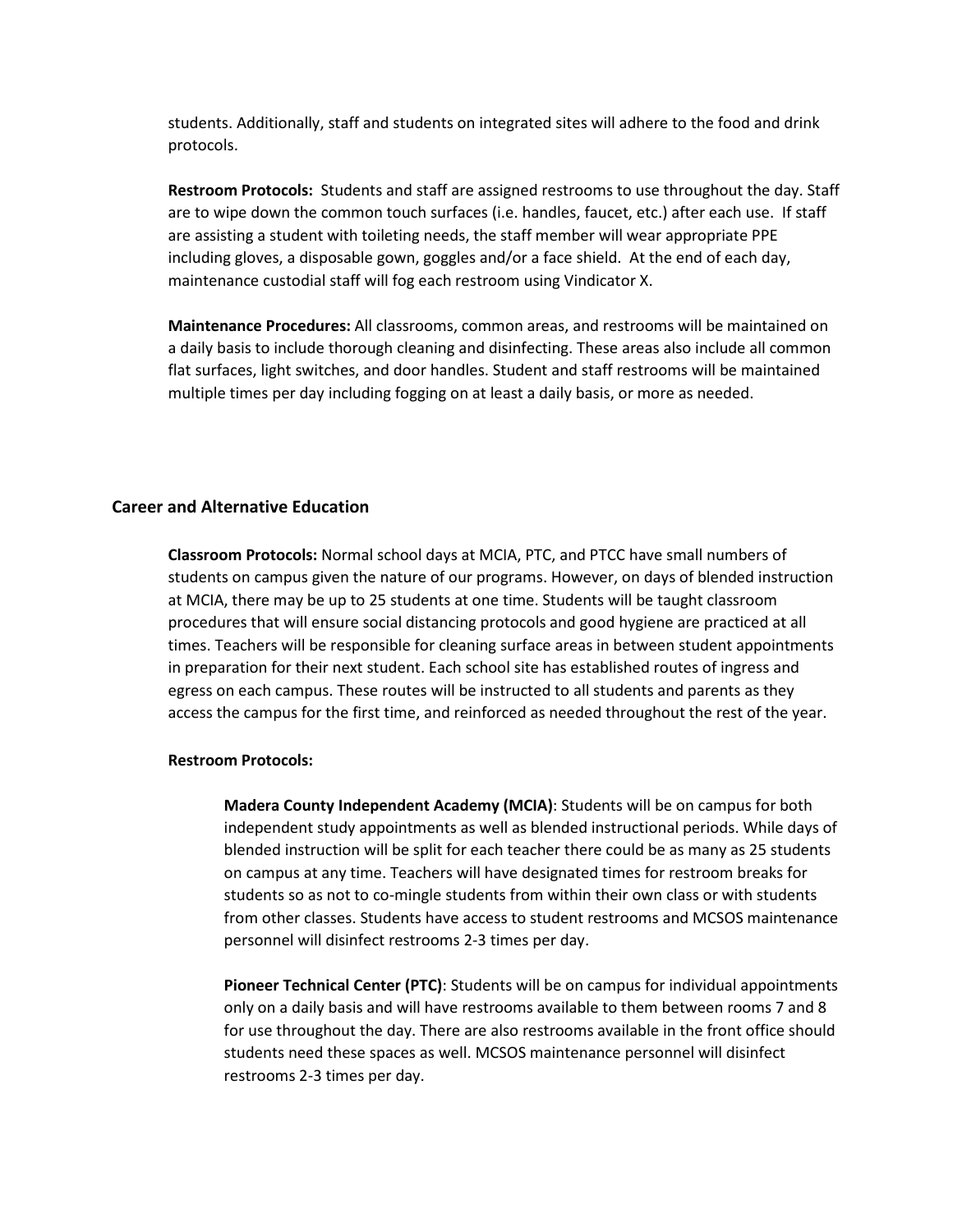students. Additionally, staff and students on integrated sites will adhere to the food and drink protocols.

**Restroom Protocols:** Students and staff are assigned restrooms to use throughout the day. Staff are to wipe down the common touch surfaces (i.e. handles, faucet, etc.) after each use. If staff are assisting a student with toileting needs, the staff member will wear appropriate PPE including gloves, a disposable gown, goggles and/or a face shield. At the end of each day, maintenance custodial staff will fog each restroom using Vindicator X.

**Maintenance Procedures:** All classrooms, common areas, and restrooms will be maintained on a daily basis to include thorough cleaning and disinfecting. These areas also include all common flat surfaces, light switches, and door handles. Student and staff restrooms will be maintained multiple times per day including fogging on at least a daily basis, or more as needed.

#### **Career and Alternative Education**

**Classroom Protocols:** Normal school days at MCIA, PTC, and PTCC have small numbers of students on campus given the nature of our programs. However, on days of blended instruction at MCIA, there may be up to 25 students at one time. Students will be taught classroom procedures that will ensure social distancing protocols and good hygiene are practiced at all times. Teachers will be responsible for cleaning surface areas in between student appointments in preparation for their next student. Each school site has established routes of ingress and egress on each campus. These routes will be instructed to all students and parents as they access the campus for the first time, and reinforced as needed throughout the rest of the year.

#### **Restroom Protocols:**

**Madera County Independent Academy (MCIA)**: Students will be on campus for both independent study appointments as well as blended instructional periods. While days of blended instruction will be split for each teacher there could be as many as 25 students on campus at any time. Teachers will have designated times for restroom breaks for students so as not to co-mingle students from within their own class or with students from other classes. Students have access to student restrooms and MCSOS maintenance personnel will disinfect restrooms 2-3 times per day.

**Pioneer Technical Center (PTC)**: Students will be on campus for individual appointments only on a daily basis and will have restrooms available to them between rooms 7 and 8 for use throughout the day. There are also restrooms available in the front office should students need these spaces as well. MCSOS maintenance personnel will disinfect restrooms 2-3 times per day.